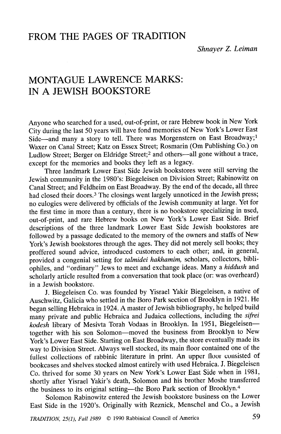# FROM THE PAGES OF TRADITION

Shnayer Z. Leiman

# MONTAGUE LAWRENCE MARKS: IN A JEWISH BOOKSTORE

Anyone who searched for a used, out-of-print, or rare Hebrew book in New York City during the last 50 years will have fond memories of New York's Lower East Side—and many a story to tell. There was Morgenstern on East Broadway;<sup>1</sup> Waxer on Canal Street; Katz on Essex Street; Rosmarin (Om Publishing Co.) on Ludlow Street; Berger on Eldridge Street;<sup>2</sup> and others-all gone without a trace, except for the memories and books they left as a legacy.

Three landmark Lower East Side Jewish bookstores were still serving the Jewish community in the 1980's: Biegcleisen on Division Street; Rabinowitz on Canal Street; and Feldheim on East Broadway. By the end of the decade, all three had closed their doors.<sup>3</sup> The closings went largely unnoticed in the Jewish press; no eulogies were delivered by officials of the Jewish community at large. Yet for the first time in more than a century, there is no bookstore specializing in used, out-of-print, and rare Hebrew books on New York's Lower East Side. Brief descriptions of the three landmark Lower East Side Jewish bookstores are followed by a passage dedicated to the memory of the owners and staffs of New York's Jewish bookstores through the ages. They did not merely sell books; they proffered sound advice, introduced customers to each other; and, in general, provided a congenial setting for talmidei hakhamim, scholars, collectors, bibliophiles, and "ordinary" Jews to meet and exchange ideas. Many a hiddush and scholarly article resulted from a conversation that took place (or: was overheard) in a Jewish bookstore.

J. Biegeleisen Co. was founded by Yisrael Yakir Biegeleisen, a native of Auschwitz, Galicia who settled in the Boro Park section of Brooklyn in 1921. He began selling Hehraica in 1924. A master of Jewish bibliography, he helped huild many private and public Hebraica and Judaica collections, including the sifrei kodesh library of Mesivta Torah Vodaas in Brooklyn. In 1951, Biegeleisentogether with his son Solomon-moved the business from Brooklyn to New York's Lower East Side. Starting on East Broadway, the store eventually made its way to Division Street. Always well stocked, its main floor contained one of the fullest collections of rabbinic literature in print. An upper floor consisted of bookcases and shelves stocked almost entirely with used Hcbraica. J. Biegeleisen Co. thrived for some 30 years on New York's Lower East Side when in 1981, shortly after Yisrael Yakir's death, Solomon and his brother Moshe transferred the business to its original setting-the Boro Park section of Brooklyn.<sup>4</sup>

Solomon Rabinowitz entered the Jewish bookstore business on the Lower East Side in the 1920's. Originally with Reznick, Menschel and Co., a Jewish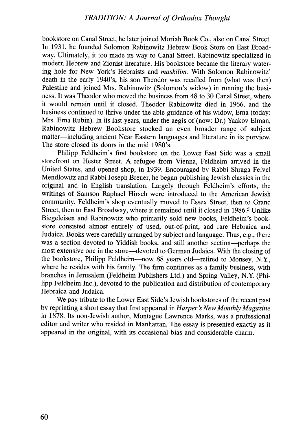bookstore on Canal Street, he later joined Moriah Book Co., also on Canal Street. In 1931, he founded Solomon Rabinowitz Hebrew Book Store on East Broadway. Ultimately, it too made its way to Canal Street. Rabinowitz specialized in modern Hebrew and Zionist literature. His bookstore became the literary watering hole for New York's Hebraists and *maskilim*. With Solomon Rabinowitz' death in the early 1940's, his son Theodor was recalled from (what was then) Palestine and joined Mrs. Rabinowitz (Solomon's widow) in running the business. It was Theodor who moved the business from 48 to 30 Canal Street, where it would remain until it closed. Theodor Rabinowitz died in 1966, and the business continued to thrive under the able guidance of his widow, Erna (today: Mrs. Erna Rubin). In its last years, under the aegis of (now: Dr.) Yaakov Elman, Rabinowitz Hebrew Bookstore stocked an even broader range of subject matter-including ancient Near Eastern languages and literature in its purview. The store closed its doors in the mid 1980's.

Philipp Feldheim's first bookstore on the Lower East Side was a small storefront on Hester Street. A refugee from Vienna, Feldheim arrived in the United States, and opened shop, in 1939. Encouraged by Rabbi Shraga Feivel Mendlowitz and Rabbi Joseph Breuer, he began publishing Jewish classics in the original and in English translation. Largely through Fe1dheim's efforts, the writings of Samson Raphael Hirsch were introduced to the American Jewish community. Feldheim's shop eventually moved to Essex Street, then to Grand Street, then to East Broadway, where it remained until it closed in 1986.<sup>5</sup> Unlike Biegeleisen and Rabinowitz who primarily sold new books, Feldheim's bookstore consisted almost entirely of used, out-of-print, and rare Hebraica and Judaica. Books were carefully arranged by subject and language. Thus, e.g., there was a section devoted to Yiddish books, and still another section-perhaps the most extensive one in the store-devoted to German Judaica. With the closing of the bookstore, Philipp Feldheim---now 88 years old--retired to Monsey, N.Y., where he resides with his family. The firm continues as a family business, with branches in Jerusalem (Feldheim Publishers Ltd.) and Spring Valley, N.Y. (Philipp Feldheim Inc.), devoted to the publication and distribution of contemporary Hebraica and Judaica.

We pay tribute to the Lower East Side's Jewish bookstores of the recent past by reprinting a short essay that first appeared in Harper's New Monthly Magazine in 1878. Its non-Jewish author, Montague Lawrence Marks, was a professional editor and writer who resided in Manhattan. The essay is presented exactly as it appeared in the original, with its occasional bias and considerable charm.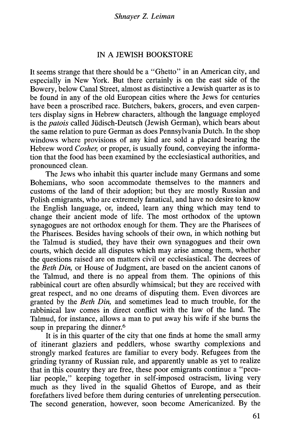# IN A JEWISH BOOKSTORE

It seems strange that there should be a "Ghetto" in an American city, and especially in New York. But there certainly is on the east side of the Bowery, below Canal Street, almost as distinctive a Jewish quarter as is to be found in any of the old European cities where the Jews for centuries have been a proscribed race. Butchers, bakers, grocers, and even carpenters display signs in Hebrew characters, although the language employed is the *patois* called Jüdisch-Deutsch (Jewish German), which bears about the same relation to pure German as does Pennsylvania Dutch. In the shop windows where provisions of any kind are sold a placard bearing the Hebrew word  $\dot{\text{Cosher}}$ , or proper, is usually found, conveying the information that the food has been examined by the ecclesiastical authorities, and pronounced clean.

The Jews who inhabit this quarter include many Germans and some Bohemians, who soon accommodate themselves to the manners and customs of the land of their adoption; but they are mostly Russian and Polish emigrants, who are extremely fanatical, and have no desire to know the English language, or, indeed, learn any thing which may tend to change their ancient mode of life. The most orthodox of the uptown synagogues are not orthodox enough for them. They are the Pharisees of the Pharisees. Besides having schools of their own, in which nothing but the Talmud is studied, they have their own synagogues and their own courts, which decide all disputes which may arise among them, whether the questions raised are on matters civil or ecclesiastical. The decrees of the Beth Din, or House of Judgment, are based on the ancient canons of the Talmud, and there is no appeal from them. The opinions of this rabbinical court are often absurdly whimsical; but they are received with great respect, and no one dreams of disputing them. Even divorces are granted by the Beth Din, and sometimes lead to much trouble, for the rabbinical law comes in direct conflict with the law of the land. The Talmud, for instance, allows a man to put away his wife if she burns the soup in preparing the dinner.<sup>6</sup>

It is in this quarter of the city that one finds at home the small army of itinerant glaziers and peddlers, whose swarthy complexions and strongly marked features are familiar to every body. Refugees from the grinding tyranny of Russian rule, and apparently unable as yet to realize that in this country they are free, these poor emigrants continue a "peculiar people," kceping together in self-imposed ostracism, living very much as they lived in the squalid Ghettos of Europe, and as their forefathers lived before them during centuries of unrelenting persecution. The second generation, however, soon become Americanized. By the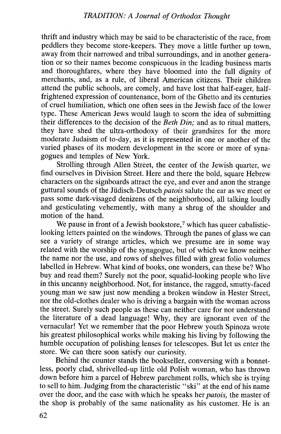thrift and industry which may be said to be characteristic of the race, from peddlers they become store-keepers. They move a little further up town, away from their narrowed and tribal surroundings, and in another generation or so their names become conspicuous in the Icading business marts and thoroughfares, where they have bloomed into the full dignity of merchants, and, as a rule, of liberal American citizens. Their children attend the public schools, are comely, and have lost that half-eager, halffrightened expression of countenance, born of the Ghetto and its centuries of cruel humiliation, which one often sees in the Jewish face of the lower type. These American Jews would laugh to scorn the idea of submitting their differences to the decision of the Beth Din; and as to ritual matters, they have shed the ultra -orthodoxy of their grandsires for the more moderate Judaism of to-day, as it is represented in one or another of the varied phases of its modern development in the score or more of synagogues and temples of New York.

Strolling through Allen Street, the center of the Jewish quarter, we find ourselves in Division Street. Here and there the bold, square Hebrew characters on the signboards attract the eye, and ever and anon the strange guttural sounds of the Jüdisch-Deutsch *patois* salute the ear as we meet or pass some dark-visaged denizens of the neighborhood, all talking loudly and gesticulating vehemently, with many a shrug of the shoulder and motion of the hand.

We pause in front of a Jewish bookstore,<sup>7</sup> which has queer cabalisticlooking letters painted on the windows. Through the panes of glass we can see a variety of strange articles, which we presume are in some way related with the worship of the synagogue, but of which we know neither the name nor the use, and rows of shelves filled with great folio volumes labelled in Hebrew. What kind of books, one wonders, can these be? Who buy and read them? Surely not the poor, squalid-looking people who live in this uncanny neighborhood. Not, for instance, the ragged, smutty-faced young man we saw just now mending a broken window in Hester Street, nor the old-clothes dealer who is driving a bargain with the woman across the street. Surely such people as these can neither care for nor understand the literature of a dead language! Why, they are ignorant even of the vernacular! Yet we remember that the poor Hebrew youth Spinoza wrote his greatest philosophical works while making his living by following the humble occupation of polishing lenses for telescopes. But let us enter the store. We can there soon satisfy our curiosity.

Behind the counter stands the bookseller, conversing with a bonnetless, poorly clad, shrivelled-up little old Polish woman, who has thrown down before him a parcel of Hebrew parchment rolls, which she is trying to sell to him. Judging from the characteristic "ski" at the end of his name over the door, and the ease with which he speaks her *patois*, the master of the shop is probahly of the same nationality as his customer. He is an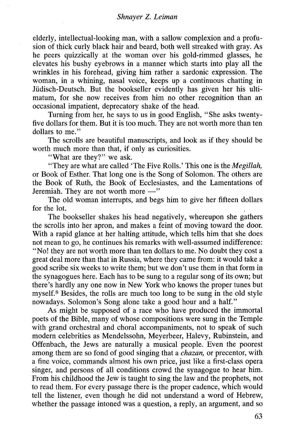elderly, intellectual-looking man, with a sallow complexion and a profusion of thick curly black hair and beard, both well streaked with gray. As he peers quizzically at the woman over his gold-rimmed glasses, he elevates his bushy eyebrows in a manner which starts into play all the wrinkles in his forehead, giving him rather a sardonic expression. The woman, in a whining, nasal voice, keeps up a continuous chatting in Jüdisch-Deutsch. But the hookseller evidently has given her his ultimatum, for she now receives from him no other recognition than an occasional impatient, deprecatory shake of the head.

Turning from her, he says to us in good English, "She asks twentyfive dollars for them. But it is too much. They are not worth more than ten dollars to me."

The scrolls are beautiful manuscripts, and look as if they should be worth much more than that, if only as curiosities.

"What are they?" we ask.

"They are what are called 'The Five Rolls.' This one is the *Megillah*, or Book of Esther. That long one is the Song of Solomon. The others are the Book of Ruth, the Book of Ecclesiastes, and the Lamentations of Jeremiah. They are not worth more  $-$ "

The old woman interrupts, and begs him to give her fifteen dollars for the lot.

The bookseller shakes his head negatively, whereupon she gathers the scrolls into her apron, and makes a feint of moving toward the door. With a rapid glance at her halting attitude, which tells him that she does not mean to go, he continues his remarks with well-assumed indifference: "No' they are not worth more than ten dollars to me. No douht they cost a great deal more than that in Russia, where they came from: it would take a good scribe six weeks to write them; but we don't use them in that form in the synagogues here. Each has to be sung to a regular song of its own; but there's hardly anyone now in New York who knows the proper tunes but myself.<sup>8</sup> Besides, the rolls are much too long to be sung in the old style nowadays. Solomon's Song alone take a good hour and a half."

As might he supposed of a race who have produced the immortal poets of the Bible, many of whose compositions were sung in the Temple with grand orchestral and choral accompaniments, not to speak of such modern celehrities as Mendelssohn, Meyerbeer, Halevy, Rubinstein, and Offenbach, the Jews are naturally a musical people. Even the poorest among them are so fond of good singing that a *chazan*, or precentor, with a fine voice, commands almost his own price, just like a first-class opera singer, and persons of all conditions crowd the synagogue to hear him. From his childhood the Jew is taught to sing the law and the prophets, not to read them. For every passage there is the proper cadence, which would tell the listener, even though he did not understand a word of Hebrew, whether the passage intoned was a question, a reply, an argument, and so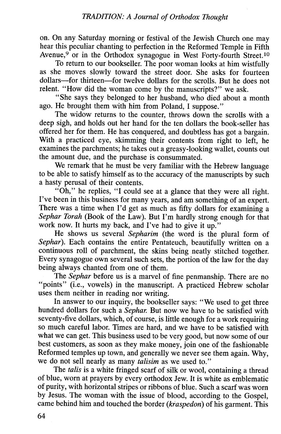on. On any Saturday morning or festival of the Jewish Church one may hear this peculiar chanting to perfection in the Reformed Temple in Fifth Avenue,<sup>9</sup> or in the Orthodox synagogue in West Forty-fourth Street.<sup>10</sup>

To return to our bookseller. The poor woman looks at him wistfully as she moves slowly toward the street door. She asks for fourteen dollars-for thirteen-for twelve dollars for the scrolls. But he does not relent. "How did the woman come by the manuscripts?" we ask.

"She says they belonged to her husband, who died about a month ago. He brought them with him from Poland, I suppose."

The widow returns to the counter, throws down the scrolls with a deep sigh, and holds out her hand for the ten dollars the book-seller has offered her for them. He has conquered, and doubtless has got a bargain. With a practiced eye, skimming their contents from right to left, he examines the parchments; he takes out a greasy-looking wallet, counts out the amount due, and the purchase is consummated.

We remark that he must be very familiar with the Hebrew language to be able to satisfy himself as to the accuracy of the manuscripts by such a hasty perusal of their contents.

"Oh," he replies, "I could see at a glance that they were all right. I've been in this business for many years, and am something of an expert. There was a time when I'd get as much as fifty dollars for examining a Sephar Torah (Book of the Law). But I'm hardly strong enough for that work now. It hurts my back, and I've had to give it up."

He shows us several Sepharim (the word is the plural form of Sephar). Each contains the entire Pentateuch, beautifully written on a continuous roll of parchment, the skins being neatly stitched together. Every synagogue own several such sets, the portion of the law for the day being always chanted from one of them.

The Sephar before us is a marvel of fine penmanship. There are no "points" (i.e., vowels) in the manuscript. A practiced Hebrew scholar uses them neither in reading nor writing.

In answer to our inquiry, the bookseller says: "We used to get three hundred dollars for such a Sephar. But now we have to be satisfied with seventy-five dollars, which, of course, is little enough for a work requiring so much careful labor. Times are hard, and we have to be satisfied with what we can get. This business used to be very good, but now some of our best customers, as soon as they make money, join one of the fashionable Reformed temples up town, and generally we never see them again. Why, we do not sell nearly as many *talisim* as we used to."

The talis is a white fringed scarf of silk or wool, containing a thread of blue, worn at prayers by every orthodox Jew. It is white as emblematic of purity, with horizontal stripes or ribbons of blue. Such a scarf was worn by Jesus. The woman with the issue of blood, according to the Gospel, came behind him and touched the border (kraspedon) of his garment. This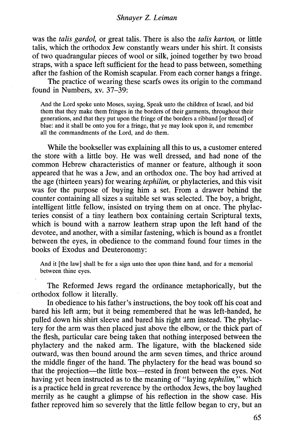### Shnayer Z. Leiman

was the *talis gardol*, or great talis. There is also the *talis karton*, or little talis, which the orthodox Jew constantly wears under his shirt. It consists of two quadrangular pieces of wool or silk, joined together by two broad straps, with a space left sufficient for the head to pass between, something after the fashion of the Romish scapular. From each corner hangs a fringe.

The practice of wearing these scarfs owes its origin to the command found in Numbers, xv. 37-39:

And the Lord spoke unto Moses, saying, Speak unto the children of Israel, and bid them that they make them fringes in the borders of their garments, throughout their generations, and that they put upon the fringe of the borders a ribband for thrcadl of blue: and it shall be onto you for a fringe, that yc may look upon it, and remember all the commandments of the Lord, and do them.

While the bookseller was explaining all this to us, a customer entered the store with a little boy. He was well dressed, and had none of the common Hebrew characteristics of manner or feature, although it soon appeared that he was a Jew, and an orthodox one. The boy had arrived at the age (thirteen years) for wearing tephilm, or phylacteries, and this visit was for the purpose of buying him a set. From a drawer behind the counter containing all sizes a suitable set was selected. The boy, a bright, intelligent little fellow, insisted on trying them on at once. The phylacteries consist of a tiny leathern box containing certain Scriptural texts, which is bound with a narrow leathern strap upon the left hand of the devotee, and another, with a similar fastening, which is bound as a frontlet between the eyes, in obedience to the command found four times in the books of Exodus and Deuteronomy:

And it [the law] shall be for a sign unto thee upon thine hand, and for a memorial between thine eyes.

The Reformed Jews regard the ordinance metaphorically, but the orthodox follow it literally.

In ohedience to his father's instructions, the boy took off his coat and bared his left arm; but it being remembered that he was left-handed, he pulled down his shirt sleeve and bared his right arm instead. The phylactery for the arm was then placed just above the elbow, or the thick part of the flesh, particular care being taken that nothing interposed between the phylactery and the naked arm. The ligature, with the blackened side outward, was then bound around the arm seven times, and thrice around the middle finger of the hand. The phylactery for the head was bound so that the projection-the little box-rested in front between the eyes. Not having yet been instructed as to the meaning of "laying tephilim," which is a practice held in great reverence by the orthodox Jews, the boy laughed merrily as he caught a glimpse of his reflection in the show case. His father reproved him so severely that the little fellow began to cry, but an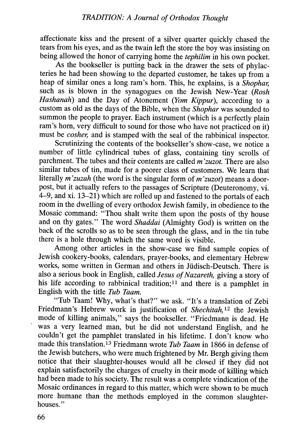affectionate kiss and the present of a silver quarter quickly chased the tears from his eyes, and as the twain left the store the boy was insisting on being allowed the honor of carrying home the *tephilim* in his own pocket.

As the hookseller is putting back in the drawer the sets of phylacteries he had been showing to the departed customer, he takes up from a heap of similar ones a long ram's horn. This, he explains, is a Shophar such as is blown in the synagogues on the Jewish New-Year (Rosh Hashanah) and the Day of Atonement (Yom Kippur), according to a custom as old as the days of the Bible, when the *Shophar* was sounded to summon the people to prayer. Each instrument (which is a perfectly plain ram's horn, very difficult to sound for those who have not practiced on it) must be *cosher*, and is stamped with the seal of the rabbinical inspector.

Scrutinizing the contents of the bookseller's show-case, we notice a number of little cylindrical tubes of glass, containing tiny scrolls of parchment. The tubes and their contents are called  $m$ 'zuzot. There are also similar tubes of tin, made for a poorer class of customers. We learn that literally  $m'zuzah$  (the word is the singular form of  $m'zuzot$ ) means a doorpost, but it actually refers to the passages of Scripture (Deuteronomy, vi. 4-9, and xi. 13-21) which are rolled up and fastened to the portals of each room in the dwelling of every orthodox Jewish family, in obedience to the Mosaic command: "Thou shalt write them upon the posts of thy house and on thy gates." The word Shaddai (Almighty God) is written on the back of the scrolls so as to be seen through the glass, and in the tin tube there is a hole through which the same word is visible.

Among other articles in the show-case we find sample copies of Jewish cookery-books, calendars, prayer-hooks, and elementary Hebrew works, some written in German and others in Jüdisch-Deutsch. There is also a serious book in English, called Jesus of Nazareth, giving a story of his life according to rabbinical tradition;<sup>11</sup> and there is a pamphlet in English with the title Tub Taam.

"Tub Taam! Why, what's that?" we ask. "It's a translation of Zebi Friedmann's Hebrew work in justification of Shechitah,<sup>12</sup> the Jewish mode of killing animals," says the bookseller. "Friedmann is dead. He was a very learned man, but he did not understand English, and he couldn't get the pamphlet translated in his lifetime. I don't know who made this translation.<sup>13</sup> Friedmann wrote Tub Taam in 1866 in defense of the Jewish butchers, who were much frightened by Mr. Bergh giving them notice that their slaughter-houses would all be closed if they did not explain satisfactorily the charges of cruelty in their mode of killing which had been made to his society. The result was a complete vindication of the Mosaic ordinances in regard to this matter, which were shown to be much more humane than the methods employed in the common slaughterhouses."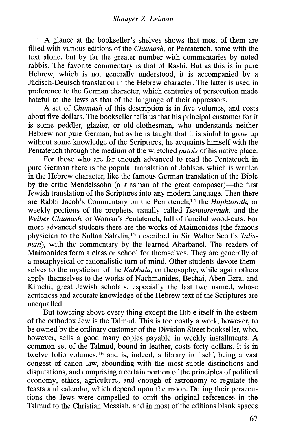A glance at the bookseller's shelves shows that most of them are filled with various editions of the Chumash, or Pentateuch, some with the text alone, but by far the greater number with commentaries by noted rabbis. The favorite commentary is that of Rashi. But as this is in pure Hebrew, which is not generally understood, it is accompanied by a Jüdisch-Deutsch translation in the Hebrew character. The latter is used in preference to the German character, which centuries of persecution made hateful to the Jews as that of the language of their oppressors.

A set of Chumash of this description is in five volumes, and costs about five dollars. The bookseller tells us that his principal customer for it is some peddler, glazier, or old-clothesman, who understands neither Hebrew nor pure German, but as he is taught that it is sinful to grow up without some knowledge of the Scriptures, he acquaints himself with the Pentateuch through the medium of the wretched *patois* of his native place.

For those who are far enough advanced to read the Pentateuch in pure German there is the popular translation of Johlsen, which is written in the Hebrew character, like the famous German translation of the Bible by the critic Mendelssohn (a kinsman of the great composer)—the first Jewish translation of the Scriptures into any modern language. Then there are Rabbi Jacob's Commentary on the Pentateuch;<sup>14</sup> the Haphtoroth, or weekly portions of the prophets, usually called Tsennorennah, and the Weiber Chumash, or Woman's Pentateuch, full of fanciful wood-cuts. For more advanced students there are the works of Maimonides (the famous physician to the Sultan Saladin,15 described in Sir Walter Scott's Talisman), with the commentary by the learned Abarbanel. The readers of Maimonides form a class or school for themselves. They are generally of a metaphysical or rationalistic turn of mind. Other students devote themselves to the mysticism of the *Kabbala*, or theosophy, while again others apply themselves to the works of Nachmanides, Bechai, Ahen Ezra, and Kimchi, great Jewish scholars, especially the last two named, whose acuteness and accurate knowledge of the Hebrew text of the Scriptures are unequalled.

But towering above every thing except the Bible itself in the esteem of' the orthodox Jew is the Talmud. This is too costly a work, however, to be owned by the ordinary customer of the Division Street bookseller, who, however, sells a good many copies payable in weekly installments. A common set of the Talmud, bound in leather, costs forty dollars. It is in twelve folio volumes,<sup>16</sup> and is, indeed, a library in itself, being a vast congest of canon law, abounding with the most subtle distinctions and disputations, and comprising a certain portion of the principles of political economy, ethics, agriculture, and enough of astronomy to regulate the feasts and calendar, which depend upon the moon. During their persecutions the Jews were compelled to omit the original references in the Talmud to the Christian Messiah, and in most of the editions blank spaces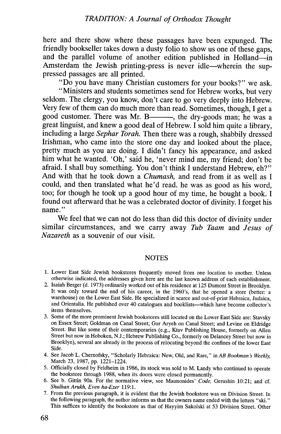here and there show where these passages have been expunged. The friendly bookseller takes down a dusty folio to show us one of these gaps, and the parallel volume of another edition published in Holland-in Amsterdam the Jewish printing-press is never idle—wherein the suppressed passages are all printed.

"Do you have many Christian customers for your books?" we ask.

"Ministers and students sometimes send for Hebrew works, but very seldom. The clergy, you know, don't care to go very deeply into Hebrew. Very few of them can do much more than read. Sometimes, though, i get a good customer. There was Mr. B——, the dry-goods man; he was a great linguist, and knew a good deal of Hebrew. I sold him quite a library, including a large Sephar Torah. Then there was a rough, shabbily dressed Irishman, who came into the store one day and looked about the place, pretty much as you are doing. I didn't fancy his appearance, and asked him what he wanted. 'Oh,' said he, 'never mind me, my friend; don't be afraid. I shall buy something. You don't think I understand Hebrew, eh?" And with that he took down a *Chumash*, and read from it as well as I could, and then translated what he'd read. he was as good as his word, too; for though he took up a good hour of my time, he bought a book. I found out afterward that he was a celebrated doctor of divinity. I forget his name."

We feel that we can not do less than did this doctor of divinity under similar circumstances, and we carry away Tub Taam and Jesus of Nazareth as a souvenir of our visit.

#### **NOTES**

- 1. Lower East Side Jewish bookstores frequently moved from one location to another. Unless otherwise indicated, the addresses given here are the last known address of each establishment.
- 2. Isaiah Berger (d. 1973) ordinarily worked out of his residence at 125 Dumont Street in Brooklyn. It was only toward the end of his career, in the 1960's, that he opened a store (better: a warehouse) on the Lower East Side. He specialized in scarce and out-of-print Hebraica, Judaica, and Orientalia. He published over 40 catalogues and booklists—which have become collector's items themselves.
- 3. Some of the more prominent Jewish bookstores still located on the Lower East Side are: Stavsky on Essex Street; Goldman on Canal Street; Gur Aryeh on Canal Street; and Levine on Eldridge Street. But like some of their contemporaries (e.g., Ktav Publishing House, formerly on Allen Street but now in Hoboken, N.J.; Hebrew Publishing Co., formerly on Delancey Street but now in Brooklyn), several are already in the process of relocating beyond thc confines of the lower East Side.
- 4. See Jacob L. Chernofsky, "Scholarly Hebraica: New, Old, and Rare," in AB Bookman's Weekly, March 23, 1987, pp. 1221-1224.
- 5. Officially closed by Fcldheim in 1986, its stock was sold to M. Landy who continued to operate the bookstore through 1988, when its doors wcre closed permanently.
- 6. See b. Gittin 90a. For the normative view, see Maimonides' Code, Gerushin 10:21; and cf. Shulhan Arukh, Even ha-Ezer 119:1.
- 7. From the previous paragraph, it is evident that the Jewish bookstore was on Division Street. In the following paragraph, the author informs us that the owners name ended with the letters "ski." This suffices to identify the bookstore as that of Hayyim Sakolski at 53 Division Street. Other